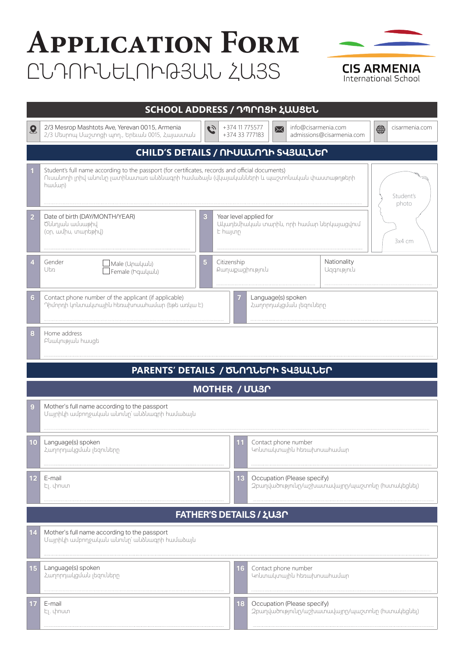## **Application Form** ԸՆԴՈՒՆԵԼՈՒԹՅԱՆ ՀԱՅՏ



International School

| SCHOOL ADDRESS / ԴՊՐՈՑԻ ՀԱՍՑԵՆ      |                                                                                                                                                                                                                    |                                              |                                                                                 |                                                                                       |                     |                           |                     |  |
|-------------------------------------|--------------------------------------------------------------------------------------------------------------------------------------------------------------------------------------------------------------------|----------------------------------------------|---------------------------------------------------------------------------------|---------------------------------------------------------------------------------------|---------------------|---------------------------|---------------------|--|
| $\mathbf{Q}$                        | 2/3 Mesrop Mashtots Ave, Yerevan 0015, Armenia<br>2/3 Մեսրոպ Մաշտոցի պող., Երեւան 0015, Հայաստան                                                                                                                   | $\tilde{c}_2$                                | +374 11 775577<br>+374 33 777183                                                | ⊠                                                                                     | info@cisarmenia.com | admissions@cisarmenia.com | ⇔<br>cisarmenia.com |  |
| CHILD'S DETAILS / ՈՒՍԱՆՈՂԻ ՏՎՅԱԼՆԵՐ |                                                                                                                                                                                                                    |                                              |                                                                                 |                                                                                       |                     |                           |                     |  |
|                                     | Student's full name according to the passport (for certificates, records and official documents)<br>Ուսանողի լրիվ անունը լատինատառ անձնագրի համաձայն (վկայականների և պաշտոնական փաստաթղթերի<br>hwuun)<br>Student's |                                              |                                                                                 |                                                                                       |                     |                           | photo               |  |
| $\overline{2}$                      | Date of birth (DAY/MONTH/YEAR)<br>3<br>Ծննդյան ամսաթիվ<br>(on, wulhu, unwptahy)                                                                                                                                    |                                              | Year level applied for<br>Ակադեմիական տարին, որի համար ներկայացվում<br>E hwjunn |                                                                                       |                     | 3x4 cm                    |                     |  |
|                                     | Gender<br>5<br>Male (Unwywl)<br>Utin<br>Female (Իգական)                                                                                                                                                            |                                              | Citizenship<br>Pwnwpwghnipjniu                                                  |                                                                                       |                     | Nationality<br>Uggnipjniu |                     |  |
| 6                                   | Contact phone number of the applicant (if applicable)<br>Դիմորդի կոնտակտային հեռախոսահամար (եթե առկա Է)                                                                                                            | Language(s) spoken<br>Հաղորդակցման լեզուները |                                                                                 |                                                                                       |                     |                           |                     |  |
| 8                                   | Home address<br>Բնակության hասցե                                                                                                                                                                                   |                                              |                                                                                 |                                                                                       |                     |                           |                     |  |
|                                     | PARENTS' DETAILS / ԾՆՈՂՆԵՐԻ ՏՎՅԱԼՆԵՐ                                                                                                                                                                               |                                              |                                                                                 |                                                                                       |                     |                           |                     |  |
| MOTHER / UU3N                       |                                                                                                                                                                                                                    |                                              |                                                                                 |                                                                                       |                     |                           |                     |  |
| 9                                   | Mother's full name according to the passport<br>Մայրիկի ամբողջական անունը՝ անձնագրի համաձայն                                                                                                                       |                                              |                                                                                 |                                                                                       |                     |                           |                     |  |
| 10                                  | Language(s) spoken<br>Հաղորդակցման լեզուները                                                                                                                                                                       |                                              | 11                                                                              | Contact phone number<br>Կոնտակտային հեռախոսահամար                                     |                     |                           |                     |  |
| 12                                  | E-mail<br>էլ. փոստ                                                                                                                                                                                                 |                                              |                                                                                 | Occupation (Please specify)<br>13<br>շբաղվածությունը/աշխատավայրը/պաշտոնը (huտակեցնել) |                     |                           |                     |  |
|                                     |                                                                                                                                                                                                                    |                                              |                                                                                 | FATHER'S DETAILS / ¿U30                                                               |                     |                           |                     |  |
| 14                                  | Mother's full name according to the passport<br>Մայրիկի ամբողջական անունը՝ անձնագրի համաձայն                                                                                                                       |                                              |                                                                                 |                                                                                       |                     |                           |                     |  |
| 15                                  | Language(s) spoken<br>Հաղորդակցման լեզուները                                                                                                                                                                       |                                              | 16                                                                              | Contact phone number<br>Կոնտակտային հեռախոսահամար                                     |                     |                           |                     |  |
| 17                                  | E-mail<br>էլ. փոստ                                                                                                                                                                                                 |                                              | 18                                                                              | Occupation (Please specify)<br>շբաղվածությունը/աշխատավայրը/պաշտոնը (huտակեցնել)       |                     |                           |                     |  |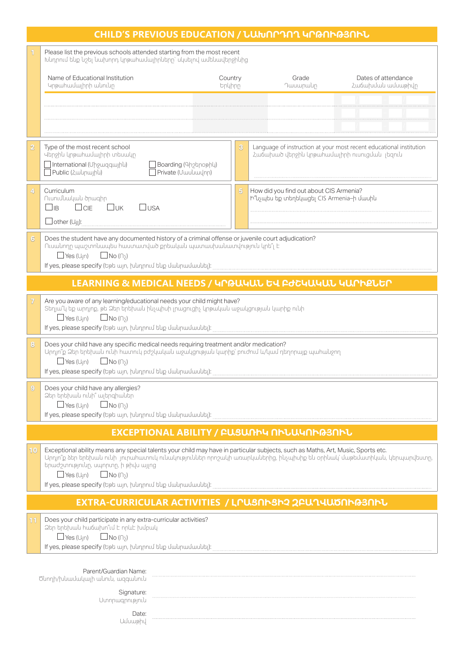| Please list the previous schools attended starting from the most recent<br>Խնդրում ենք նշել նախորդ կրթահամալիրները` սկսելով ամենավերջինից                                                                                                                                                                                                                      |                                                                                                                     |  |  |  |  |  |  |  |
|----------------------------------------------------------------------------------------------------------------------------------------------------------------------------------------------------------------------------------------------------------------------------------------------------------------------------------------------------------------|---------------------------------------------------------------------------------------------------------------------|--|--|--|--|--|--|--|
|                                                                                                                                                                                                                                                                                                                                                                |                                                                                                                     |  |  |  |  |  |  |  |
| Name of Educational Institution<br>Country<br>Grade<br>Կրթահամալիրի անունը<br>Դասարակր<br>tpypp                                                                                                                                                                                                                                                                | Dates of attendance<br>Հաճախման ամսաթիվը                                                                            |  |  |  |  |  |  |  |
|                                                                                                                                                                                                                                                                                                                                                                |                                                                                                                     |  |  |  |  |  |  |  |
|                                                                                                                                                                                                                                                                                                                                                                |                                                                                                                     |  |  |  |  |  |  |  |
|                                                                                                                                                                                                                                                                                                                                                                |                                                                                                                     |  |  |  |  |  |  |  |
| Type of the most recent school<br>$\overline{\mathbf{3}}$<br>$\overline{\bf 2}$<br>Վերջին կրթահամալիրի տեսակր<br>International (Uhpwqqwjhu)<br>Boarding (Գիշերօթիկ)<br>Public (Հակրային)<br>Private (Uwuluwulnn)                                                                                                                                               | Language of instruction at your most recent educational institution<br>Հաճախած վերջին կրթահամալիրի ուսուցման լեզուն |  |  |  |  |  |  |  |
| How did you find out about CIS Armenia?<br>Curriculum<br>5<br>4<br>Ուսումնական ծրագիր<br>Ի՞նչպես եք տեղեկացել CIS Armenia-ի մասին<br>$\square$ UK<br>$\Box$ <sub>IB</sub><br>$\Box$ CIE<br>$\Box$ usa                                                                                                                                                          |                                                                                                                     |  |  |  |  |  |  |  |
|                                                                                                                                                                                                                                                                                                                                                                |                                                                                                                     |  |  |  |  |  |  |  |
| Does the student have any documented history of a criminal offense or juvenile court adjudication?<br>Ուսակողը պաշտոկապես հաստատված քրեակակ պատասխակատվություն կրե՞լ Է<br>$\Box$ Yes (U <sub>I</sub> n)<br>$\Box$ No ( $\cap$ )                                                                                                                                |                                                                                                                     |  |  |  |  |  |  |  |
| LEARNING & MEDICAL NEEDS / ԿՐԹԱԿԱՆ ԵՎ ԲԺՇԿԱԿԱՆ ԿԱՐԻՔՆԵՐ                                                                                                                                                                                                                                                                                                        |                                                                                                                     |  |  |  |  |  |  |  |
| Are you aware of any learning/educational needs your child might have?<br>Տեղյա՞կ եք արդյոք, թե Ձեր երեխան ինչպիսի լրացուցիչ կրթական աջակցության կարիք ունի<br>$\Box$ Yes (U <sub>I</sub> n) $\Box$ No ( $\cap$ )                                                                                                                                              |                                                                                                                     |  |  |  |  |  |  |  |
| Does your child have any specific medical needs requiring treatment and/or medication?<br>Արդյո՞ք Ձեր երեխան ունի հատուկ բժշկական աջակցության կարիք՝ բուժում և/կամ դեղորայք պահանջող<br>$\Box$ No ( $\cap$ )<br>$\Box$ Yes (U <sub>I</sub> n)                                                                                                                  |                                                                                                                     |  |  |  |  |  |  |  |
| Does your child have any allergies?<br>Ձեր երեխան ունի՞ ալերգիաներ<br>$\Box$ Yes (U <sub>I</sub> n) $\Box$ No ( $\cap$ )                                                                                                                                                                                                                                       |                                                                                                                     |  |  |  |  |  |  |  |
| EXCEPTIONAL ABILITY / ԲԱՑԱՌԻԿ ՈՒՆԱԿՈՒԹՅՈՒՆ                                                                                                                                                                                                                                                                                                                     |                                                                                                                     |  |  |  |  |  |  |  |
| Exceptional ability means any special talents your child may have in particular subjects, such as Maths, Art, Music, Sports etc.<br>10<br>Արդյո՞ք ձեր երեխան ունի յուրահատուկ ունակություններ որոշակի առարկաներից, ինչպիսիք են օրինակ՝ մաթեմատիկան, կերպարվեստր,<br>երաժշտությունը, սպորտը, ի թիվս այլոց<br>$\Box$ Yes (U <sub>I</sub> n) $\Box$ No ( $\cap$ ) |                                                                                                                     |  |  |  |  |  |  |  |
| EXTRA-CURRICULAR ACTIVITIES / LՐԱՑՈՒՑԻՉ շԲԱՂՎԱԾՈՒԹՅՈՒՆ                                                                                                                                                                                                                                                                                                         |                                                                                                                     |  |  |  |  |  |  |  |
| Does your child participate in any extra-curricular activities?<br><u>atn tnthuuu hw6whn°id t nnut hunuu</u><br>$\Box$ Yes (U <sub>I</sub> n) $\Box$ No ( $\cap$ )                                                                                                                                                                                             |                                                                                                                     |  |  |  |  |  |  |  |
| Parent/Guardian Name:<br>Ծնողի/խնամակալի անուն, ազգանուն                                                                                                                                                                                                                                                                                                       |                                                                                                                     |  |  |  |  |  |  |  |
| Signature:<br>Uտորագրություն                                                                                                                                                                                                                                                                                                                                   |                                                                                                                     |  |  |  |  |  |  |  |
| Date:<br>Uuuumphul                                                                                                                                                                                                                                                                                                                                             |                                                                                                                     |  |  |  |  |  |  |  |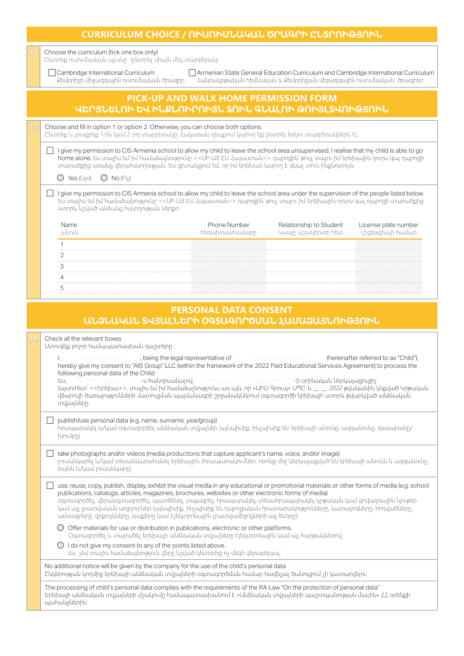| CURRICULUM CHOICE / ՈՒՍՈՒՄՆԱԿԱՆ ԾՐԱԳՐԻ ԸՆՏՐՈՒԹՅՈՒՆ |                                                                                                                                                                                                                                                                                                                                                                                                                                                                                                                                                                                                                                                                                                                                                                                                                                                                                                                                                                                                                                                                                                                                                                                                                                                                                                                                                                                                                                                                                                                                                               |  |  |  |  |  |  |
|----------------------------------------------------|---------------------------------------------------------------------------------------------------------------------------------------------------------------------------------------------------------------------------------------------------------------------------------------------------------------------------------------------------------------------------------------------------------------------------------------------------------------------------------------------------------------------------------------------------------------------------------------------------------------------------------------------------------------------------------------------------------------------------------------------------------------------------------------------------------------------------------------------------------------------------------------------------------------------------------------------------------------------------------------------------------------------------------------------------------------------------------------------------------------------------------------------------------------------------------------------------------------------------------------------------------------------------------------------------------------------------------------------------------------------------------------------------------------------------------------------------------------------------------------------------------------------------------------------------------------|--|--|--|--|--|--|
| 12                                                 | Choose the curriculum (tick one box only)<br>Ընտրեք ուսումնական պլանը (րնտրել միայն մեկ տարբերակ)                                                                                                                                                                                                                                                                                                                                                                                                                                                                                                                                                                                                                                                                                                                                                                                                                                                                                                                                                                                                                                                                                                                                                                                                                                                                                                                                                                                                                                                             |  |  |  |  |  |  |
|                                                    | Cambridge International Curriculum<br>Armenian State General Education Curriculum and Cambridge International Curriculum<br>քեմբրիջի միջազգային ուսումնական ծրագիր<br>Հանրակրթական հիմնական և Քեմբրիջյան միջազգային ուսումնական ծրագրեր                                                                                                                                                                                                                                                                                                                                                                                                                                                                                                                                                                                                                                                                                                                                                                                                                                                                                                                                                                                                                                                                                                                                                                                                                                                                                                                       |  |  |  |  |  |  |
|                                                    | PICK-UP AND WALK HOME PERMISSION FORM<br>ՎԵՐՑՆԵԼՈՒ ԵՎ ԻՆՔՆՈՒՐՈՒՅՆ ՏՈՒՆ ԳՆԱԼՈՒ ԹՈՒՅԼՏՎՈՒԹՅՈՒՆ                                                                                                                                                                                                                                                                                                                                                                                                                                                                                                                                                                                                                                                                                                                                                                                                                                                                                                                                                                                                                                                                                                                                                                                                                                                                                                                                                                                                                                                                  |  |  |  |  |  |  |
|                                                    |                                                                                                                                                                                                                                                                                                                                                                                                                                                                                                                                                                                                                                                                                                                                                                                                                                                                                                                                                                                                                                                                                                                                                                                                                                                                                                                                                                                                                                                                                                                                                               |  |  |  |  |  |  |
| 13                                                 | Choose and fill in option 1 or option 2. Otherwise, you can choose both options.<br>Ընտրեք և լրացրեք 1-ին կամ 2-րդ տարբերակը։ Հակառակ դեպքում կարող եք ընտրել երկու տարբերակներն Էլ։                                                                                                                                                                                                                                                                                                                                                                                                                                                                                                                                                                                                                                                                                                                                                                                                                                                                                                                                                                                                                                                                                                                                                                                                                                                                                                                                                                          |  |  |  |  |  |  |
|                                                    | □ I give my permission to CIS Armenia school to allow my child to leave the school area unsupervised. I realise that my child is able to go<br>home alone. Ես տալիս եմ իմ hամաձայնությունը < <uh u3="" էս="" հայաստան="">&gt; դպրոցին՝ թույլ տալու իմ երեխային դուրս գալ դպրոցի<br/>տարածքից առանց վերահսկողության։ Ես գիտակցում եմ, որ իմ երեխան կարող է գնալ տուն ինքնուրույն։<br/><math>\bigcirc</math> Yes (U<sub>I</sub>n)<br/><math>\bigcirc</math> No (<math>\cap</math> )</uh>                                                                                                                                                                                                                                                                                                                                                                                                                                                                                                                                                                                                                                                                                                                                                                                                                                                                                                                                                                                                                                                                        |  |  |  |  |  |  |
|                                                    | I give my permission to CIS Armenia school to allow my child to leave the school area under the supervision of the people listed below.<br>.<br>Ես տալիս եմ իմ համաձայնությունը <<ՄԻ ԱՅ ԷՄ Հայաստան>> դպրոցին՝ թույլ տալու իմ երեխային դուրս գալ դպրոցի տարածքից<br>unnnlı uzyund mudayin huynmuğluğu ulandır:                                                                                                                                                                                                                                                                                                                                                                                                                                                                                                                                                                                                                                                                                                                                                                                                                                                                                                                                                                                                                                                                                                                                                                                                                                                |  |  |  |  |  |  |
|                                                    | Name<br>Phone Number<br>Relationship to Student<br>License plate number<br>wuniu<br>htnwhuwhwuwnp<br>Կապր աշակերտի հետ<br>Lhgtughwih hwuwn                                                                                                                                                                                                                                                                                                                                                                                                                                                                                                                                                                                                                                                                                                                                                                                                                                                                                                                                                                                                                                                                                                                                                                                                                                                                                                                                                                                                                    |  |  |  |  |  |  |
|                                                    | 1                                                                                                                                                                                                                                                                                                                                                                                                                                                                                                                                                                                                                                                                                                                                                                                                                                                                                                                                                                                                                                                                                                                                                                                                                                                                                                                                                                                                                                                                                                                                                             |  |  |  |  |  |  |
|                                                    | 2                                                                                                                                                                                                                                                                                                                                                                                                                                                                                                                                                                                                                                                                                                                                                                                                                                                                                                                                                                                                                                                                                                                                                                                                                                                                                                                                                                                                                                                                                                                                                             |  |  |  |  |  |  |
|                                                    | 3<br>4                                                                                                                                                                                                                                                                                                                                                                                                                                                                                                                                                                                                                                                                                                                                                                                                                                                                                                                                                                                                                                                                                                                                                                                                                                                                                                                                                                                                                                                                                                                                                        |  |  |  |  |  |  |
|                                                    | 5                                                                                                                                                                                                                                                                                                                                                                                                                                                                                                                                                                                                                                                                                                                                                                                                                                                                                                                                                                                                                                                                                                                                                                                                                                                                                                                                                                                                                                                                                                                                                             |  |  |  |  |  |  |
|                                                    |                                                                                                                                                                                                                                                                                                                                                                                                                                                                                                                                                                                                                                                                                                                                                                                                                                                                                                                                                                                                                                                                                                                                                                                                                                                                                                                                                                                                                                                                                                                                                               |  |  |  |  |  |  |
|                                                    | <b>PERSONAL DATA CONSENT</b>                                                                                                                                                                                                                                                                                                                                                                                                                                                                                                                                                                                                                                                                                                                                                                                                                                                                                                                                                                                                                                                                                                                                                                                                                                                                                                                                                                                                                                                                                                                                  |  |  |  |  |  |  |
|                                                    | ԱՆՁՆԱԿԱՆ ՏՎՅԱԼՆԵՐԻ 0ԳՏԱԳՈՐԾՄԱՆ ՀԱՄԱՁԱՅՆՈՒԹՅՈՒՆ                                                                                                                                                                                                                                                                                                                                                                                                                                                                                                                                                                                                                                                                                                                                                                                                                                                                                                                                                                                                                                                                                                                                                                                                                                                                                                                                                                                                                                                                                                                |  |  |  |  |  |  |
| 14                                                 | Check all the relevant boxes<br>Ստուգեք բոլոր համապատասխան դաշտերը                                                                                                                                                                                                                                                                                                                                                                                                                                                                                                                                                                                                                                                                                                                                                                                                                                                                                                                                                                                                                                                                                                                                                                                                                                                                                                                                                                                                                                                                                            |  |  |  |  |  |  |
|                                                    | ], being the legal representative of<br>child's name surname<br>  (hereinafter referred to as "Child"),<br>name surname<br>hereby give my consent to "AIS Group" LLC (within the framework of the 2022 Paid Educational Services Agreement) to process the<br>following personal data of the Child:                                                                                                                                                                                                                                                                                                                                                                                                                                                                                                                                                                                                                                                                                                                                                                                                                                                                                                                                                                                                                                                                                                                                                                                                                                                           |  |  |  |  |  |  |
|                                                    | bu, [ ulunlu wqqwlinili - ]-u hwunhuwuwiny [<br>երեխայի անուն ազգանուն <b>- ]-ի օրինական ներկայացուցիչ</b><br>(այսուհետ՝ <<Երեխա>>, տալիս եմ իմ համաձայնությունս առ այն, որ «ԱԻՍ Գրուպ» ՍՊԸ-ն __ __ 2022 թվականին կնքված Կրթական<br>վճարովի ծառայությունների մատուցման պայմանագրի շրջանակներում օգտագործի երեխայի՝ ստորև թվարկված անձնական<br>տվյալները.                                                                                                                                                                                                                                                                                                                                                                                                                                                                                                                                                                                                                                                                                                                                                                                                                                                                                                                                                                                                                                                                                                                                                                                                      |  |  |  |  |  |  |
|                                                    | publish/use personal data (e.g. name, surname, year/group)<br>հրապարակել և/կամ օգտագործել անձնական տվյալներ (այնպիսիք, ինչպիսիք են՝ երեխայի անունը, ազգանունը, դասարանը/<br>խումբը)<br>take photographs and/or videos (media productions that capture applicant's name, voice, and/or image)<br>լուսանկարել և/կամ տեսանկարահանել երեխային (հրապարակումներ, որոնց մեջ ներկայացված են երեխայի անունն և ազգանունր,<br>ծայնն և/կամ լուսանկարը)<br>use, reuse, copy, publish, display, exhibit the visual media in any educational or promotional materials or other forms of media (e.g. school<br>publications, catalogs, articles, magazines, brochures, websites or other electronic forms of media)<br>օգտագործել, վերաօգտագործել, պատճենել, տպագրել, հրապարակել, տեսահրապարակել կրթական կամ գովազդային նյութեր<br>կամ այլ լրատվական աղբյուրներ (այնպիսիք, ինչպիսիք են դպրոցական հրատարակությունները, կատալոգները, հոդվածները,<br>ամսագրերը, գրքույկները, կայքերը կամ Էլեկտրոնային լրատվամիջոցների այլ ձևերը):<br>$\bigcirc$ Offer materials for use or distribution in publications, electronic or other platforms.<br>Օգտագործել և տարածել երեխայի անձնական տվյալները Էլեկտրոնային կամ այլ հարթակներով:<br>$\bigcirc$ I do not give my consent to any of the points listed above.<br>Ես չեմ տալիս համաձայնություն վերը նշված կետերից ոչ մեկի վերաբերյալ:<br>No additional notice will be given by the company for the use of the child's personal data<br>Ընկերության կողմից երեխայի անձնական տվյալների օգտագործման համար հավելյալ ծանուցում չի կատարվելու։ |  |  |  |  |  |  |
|                                                    |                                                                                                                                                                                                                                                                                                                                                                                                                                                                                                                                                                                                                                                                                                                                                                                                                                                                                                                                                                                                                                                                                                                                                                                                                                                                                                                                                                                                                                                                                                                                                               |  |  |  |  |  |  |
|                                                    |                                                                                                                                                                                                                                                                                                                                                                                                                                                                                                                                                                                                                                                                                                                                                                                                                                                                                                                                                                                                                                                                                                                                                                                                                                                                                                                                                                                                                                                                                                                                                               |  |  |  |  |  |  |
|                                                    |                                                                                                                                                                                                                                                                                                                                                                                                                                                                                                                                                                                                                                                                                                                                                                                                                                                                                                                                                                                                                                                                                                                                                                                                                                                                                                                                                                                                                                                                                                                                                               |  |  |  |  |  |  |
|                                                    |                                                                                                                                                                                                                                                                                                                                                                                                                                                                                                                                                                                                                                                                                                                                                                                                                                                                                                                                                                                                                                                                                                                                                                                                                                                                                                                                                                                                                                                                                                                                                               |  |  |  |  |  |  |
|                                                    |                                                                                                                                                                                                                                                                                                                                                                                                                                                                                                                                                                                                                                                                                                                                                                                                                                                                                                                                                                                                                                                                                                                                                                                                                                                                                                                                                                                                                                                                                                                                                               |  |  |  |  |  |  |
|                                                    | The processing of child's personal data complies with the requirements of the RA Law "On the protection of personal data"<br>Երեխայի անձնական տվյալների մշակումը համապատասխանում E «Անձնական տվյալների պաշտպանության մասին» ՀՀ օրենքի<br>պաhաuyutphu:                                                                                                                                                                                                                                                                                                                                                                                                                                                                                                                                                                                                                                                                                                                                                                                                                                                                                                                                                                                                                                                                                                                                                                                                                                                                                                         |  |  |  |  |  |  |